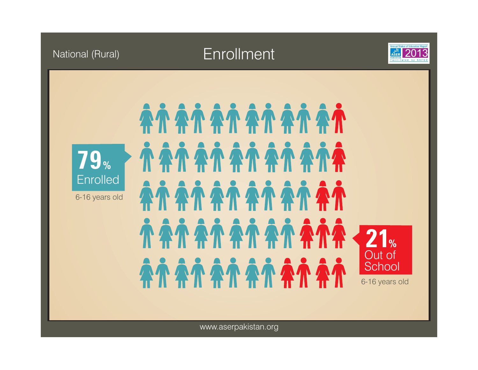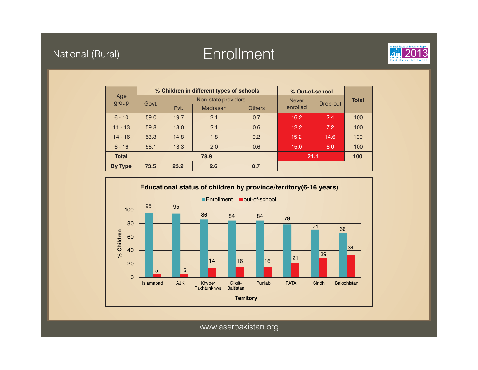# National (Rural) and 2013 Enrollment 2013 and 2013



| Age<br>group   | % Children in different types of schools |                     |                 |               | % Out-of-school |          |              |
|----------------|------------------------------------------|---------------------|-----------------|---------------|-----------------|----------|--------------|
|                | Govt.                                    | Non-state providers |                 |               | <b>Never</b>    |          | <b>Total</b> |
|                |                                          | Pvt.                | <b>Madrasah</b> | <b>Others</b> | enrolled        | Drop-out |              |
| $6 - 10$       | 59.0                                     | 19.7                | 2.1             | 0.7           | 16.2            | 2.4      | 100          |
| $11 - 13$      | 59.8                                     | 18.0                | 2.1             | 0.6           | 12.2            | 7.2      | 100          |
| $14 - 16$      | 53.3                                     | 14.8                | 1.8             | 0.2           | 15.2            | 14.6     | 100          |
| $6 - 16$       | 58.1                                     | 18.3                | 2.0             | 0.6           | 15.0            | 6.0      | 100          |
| <b>Total</b>   |                                          | 78.9                |                 |               | 21.1            |          | 100          |
| <b>By Type</b> | 73.5                                     | 23.2                | 2.6             | 0.7           |                 |          |              |

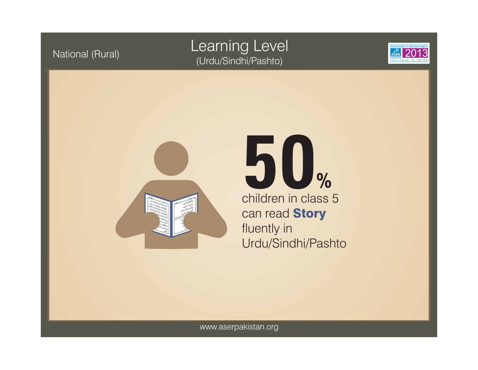## National (Rural) Learning Level (Urdu/Sindhi/Pashto)





children in class 5 can read **Story** fluently in Urdu/Sindhi/Pashto **50%**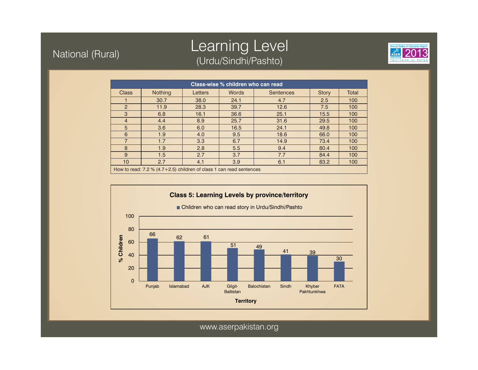#### National (Rural)

## Learning Level (Urdu/Sindhi/Pashto)



| Class-wise % children who can read                                    |                |         |              |                  |              |              |  |
|-----------------------------------------------------------------------|----------------|---------|--------------|------------------|--------------|--------------|--|
| <b>Class</b>                                                          | <b>Nothing</b> | Letters | <b>Words</b> | <b>Sentences</b> | <b>Story</b> | <b>Total</b> |  |
|                                                                       | 30.7           | 38.0    | 24.1         | 4.7              | 2.5          | 100          |  |
| $\overline{2}$                                                        | 11.9           | 28.3    | 39.7         | 12.6             | 7.5          | 100          |  |
| 3                                                                     | 6.8            | 16.1    | 36.6         | 25.1             | 15.5         | 100          |  |
| $\overline{4}$                                                        | 4.4            | 8.9     | 25.7         | 31.6             | 29.5         | 100          |  |
| 5                                                                     | 3.6            | 6.0     | 16.5         | 24.1             | 49.8         | 100          |  |
| 6                                                                     | 1.9            | 4.0     | 9.5          | 18.6             | 66.0         | 100          |  |
| $\overline{7}$                                                        | 1.7            | 3.3     | 6.7          | 14.9             | 73.4         | 100          |  |
| 8                                                                     | 1.9            | 2.8     | 5.5          | 9.4              | 80.4         | 100          |  |
| 9                                                                     | 1.5            | 2.7     | 3.7          | 7.7              | 84.4         | 100          |  |
| 10                                                                    | 2.7            | 4.1     | 3.9          | 6.1              | 83.2         | 100          |  |
| How to read: $7.2\%$ (4.7+2.5) children of class 1 can read sentences |                |         |              |                  |              |              |  |

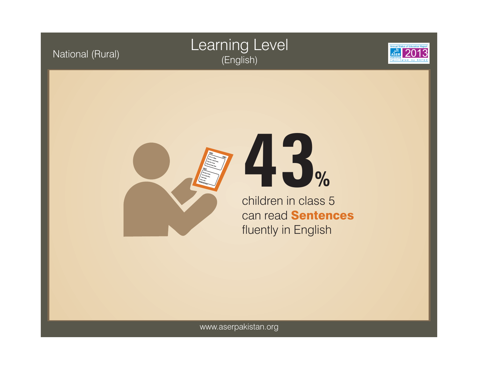## Learning Level (English)





National (Rural)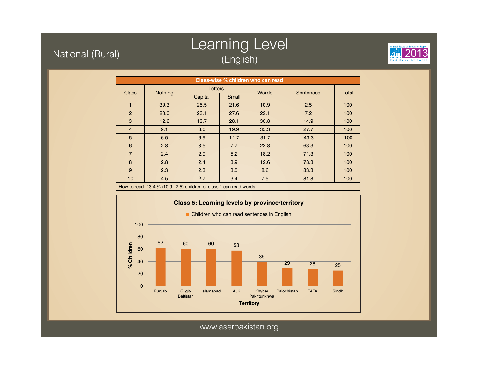#### National (Rural)

## Learning Level (English)



| Class-wise % children who can read                                  |                |         |       |              |                  |       |  |
|---------------------------------------------------------------------|----------------|---------|-------|--------------|------------------|-------|--|
| <b>Class</b>                                                        |                | Letters |       | <b>Words</b> | <b>Sentences</b> | Total |  |
|                                                                     | <b>Nothing</b> | Capital | Small |              |                  |       |  |
| 1                                                                   | 39.3           | 25.5    | 21.6  | 10.9         | 2.5              | 100   |  |
| $\overline{2}$                                                      | 20.0           | 23.1    | 27.6  | 22.1         | 7.2              | 100   |  |
| 3                                                                   | 12.6           | 13.7    | 28.1  | 30.8         | 14.9             | 100   |  |
| $\overline{4}$                                                      | 9.1            | 8.0     | 19.9  | 35.3         | 27.7             | 100   |  |
| 5                                                                   | 6.5            | 6.9     | 11.7  | 31.7         | 43.3             | 100   |  |
| 6                                                                   | 2.8            | 3.5     | 7.7   | 22.8         | 63.3             | 100   |  |
| $\overline{7}$                                                      | 2.4            | 2.9     | 5.2   | 18.2         | 71.3             | 100   |  |
| 8                                                                   | 2.8            | 2.4     | 3.9   | 12.6         | 78.3             | 100   |  |
| 9                                                                   | 2.3            | 2.3     | 3.5   | 8.6          | 83.3             | 100   |  |
| 10                                                                  | 4.5            | 2.7     | 3.4   | 7.5          | 81.8             | 100   |  |
| How to read: $13.4\%$ (10.9+2.5) children of class 1 can read words |                |         |       |              |                  |       |  |

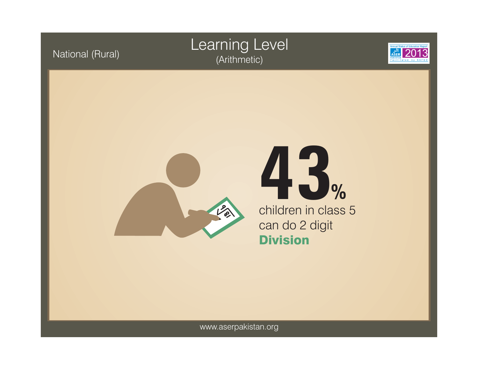